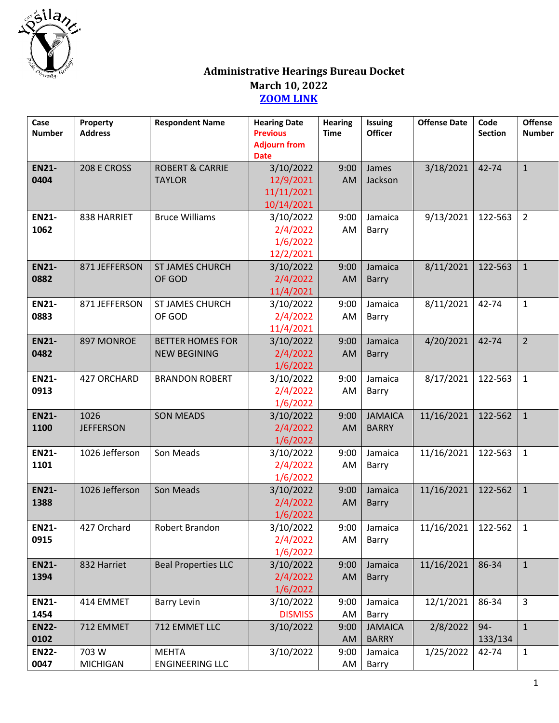

## **Administrative Hearings Bureau Docket March 10, 2022 [ZOOM LINK](https://us02web.zoom.us/j/81273814328)**

| Case<br><b>Number</b> | Property<br><b>Address</b> | <b>Respondent Name</b>                         | <b>Hearing Date</b><br><b>Previous</b><br><b>Adjourn from</b><br><b>Date</b> | <b>Hearing</b><br><b>Time</b> | Issuing<br><b>Officer</b>      | <b>Offense Date</b> | Code<br><b>Section</b> | <b>Offense</b><br><b>Number</b> |
|-----------------------|----------------------------|------------------------------------------------|------------------------------------------------------------------------------|-------------------------------|--------------------------------|---------------------|------------------------|---------------------------------|
| <b>EN21-</b><br>0404  | 208 E CROSS                | <b>ROBERT &amp; CARRIE</b><br><b>TAYLOR</b>    | 3/10/2022<br>12/9/2021<br>11/11/2021<br>10/14/2021                           | 9:00<br>AM                    | James<br>Jackson               | 3/18/2021           | 42-74                  | $\mathbf{1}$                    |
| <b>EN21-</b><br>1062  | 838 HARRIET                | <b>Bruce Williams</b>                          | 3/10/2022<br>2/4/2022<br>1/6/2022<br>12/2/2021                               | 9:00<br>AM                    | Jamaica<br>Barry               | 9/13/2021           | 122-563                | $\overline{2}$                  |
| <b>EN21-</b><br>0882  | 871 JEFFERSON              | <b>ST JAMES CHURCH</b><br>OF GOD               | 3/10/2022<br>2/4/2022<br>11/4/2021                                           | 9:00<br>AM                    | Jamaica<br><b>Barry</b>        | 8/11/2021           | 122-563                | $\mathbf{1}$                    |
| <b>EN21-</b><br>0883  | 871 JEFFERSON              | <b>ST JAMES CHURCH</b><br>OF GOD               | 3/10/2022<br>2/4/2022<br>11/4/2021                                           | 9:00<br>AM                    | Jamaica<br>Barry               | 8/11/2021           | 42-74                  | $\mathbf{1}$                    |
| <b>EN21-</b><br>0482  | 897 MONROE                 | <b>BETTER HOMES FOR</b><br><b>NEW BEGINING</b> | 3/10/2022<br>2/4/2022<br>1/6/2022                                            | 9:00<br>AM                    | Jamaica<br><b>Barry</b>        | 4/20/2021           | 42-74                  | $\overline{2}$                  |
| <b>EN21-</b><br>0913  | 427 ORCHARD                | <b>BRANDON ROBERT</b>                          | 3/10/2022<br>2/4/2022<br>1/6/2022                                            | 9:00<br>AM                    | Jamaica<br>Barry               | 8/17/2021           | 122-563                | $\mathbf{1}$                    |
| <b>EN21-</b><br>1100  | 1026<br><b>JEFFERSON</b>   | <b>SON MEADS</b>                               | 3/10/2022<br>2/4/2022<br>1/6/2022                                            | 9:00<br>AM                    | <b>JAMAICA</b><br><b>BARRY</b> | 11/16/2021          | 122-562                | $1\,$                           |
| <b>EN21-</b><br>1101  | 1026 Jefferson             | Son Meads                                      | 3/10/2022<br>2/4/2022<br>1/6/2022                                            | 9:00<br>AM                    | Jamaica<br>Barry               | 11/16/2021          | 122-563                | $\mathbf{1}$                    |
| <b>EN21-</b><br>1388  | 1026 Jefferson             | Son Meads                                      | 3/10/2022<br>2/4/2022<br>1/6/2022                                            | 9:00<br>AM                    | Jamaica<br>Barry               | 11/16/2021          | 122-562                | $1\,$                           |
| <b>EN21-</b><br>0915  | 427 Orchard                | Robert Brandon                                 | 3/10/2022<br>2/4/2022<br>1/6/2022                                            | AM                            | $9:00$ Jamaica<br>Barry        | 11/16/2021 122-562  |                        | $\mathbf{1}$                    |
| <b>EN21-</b><br>1394  | 832 Harriet                | <b>Beal Properties LLC</b>                     | 3/10/2022<br>2/4/2022<br>1/6/2022                                            | 9:00<br>AM                    | Jamaica<br>Barry               | 11/16/2021          | 86-34                  | $\mathbf{1}$                    |
| <b>EN21-</b><br>1454  | 414 EMMET                  | <b>Barry Levin</b>                             | 3/10/2022<br><b>DISMISS</b>                                                  | 9:00<br>AM                    | Jamaica<br>Barry               | 12/1/2021           | 86-34                  | 3                               |
| <b>EN22-</b><br>0102  | 712 EMMET                  | 712 EMMET LLC                                  | 3/10/2022                                                                    | 9:00<br>AM                    | <b>JAMAICA</b><br><b>BARRY</b> | 2/8/2022            | $94 -$<br>133/134      | $\mathbf{1}$                    |
| <b>EN22-</b><br>0047  | 703 W<br><b>MICHIGAN</b>   | <b>MEHTA</b><br><b>ENGINEERING LLC</b>         | 3/10/2022                                                                    | 9:00<br>AM                    | Jamaica<br>Barry               | 1/25/2022           | 42-74                  | $\mathbf{1}$                    |